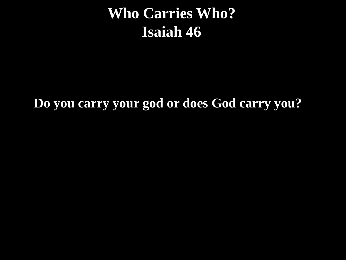# **Who Carries Who? Isaiah 46**

#### **Do you carry your god or does God carry you?**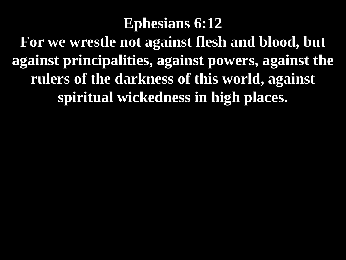# **Ephesians 6:12 For we wrestle not against flesh and blood, but against principalities, against powers, against the rulers of the darkness of this world, against spiritual wickedness in high places.**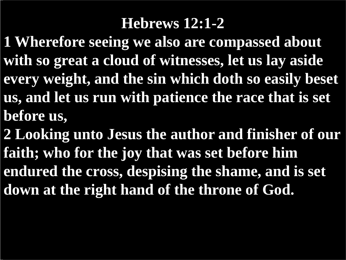## **Hebrews 12:1-2**

- **1 Wherefore seeing we also are compassed about with so great a cloud of witnesses, let us lay aside every weight, and the sin which doth so easily beset us, and let us run with patience the race that is set before us,**
- **2 Looking unto Jesus the author and finisher of our faith; who for the joy that was set before him endured the cross, despising the shame, and is set down at the right hand of the throne of God.**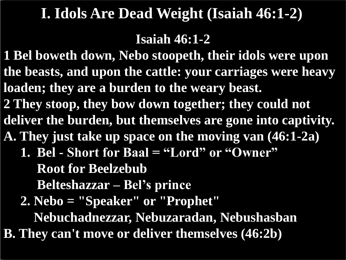# **I. Idols Are Dead Weight (Isaiah 46:1-2)**

#### **Isaiah 46:1-2**

**1 Bel boweth down, Nebo stoopeth, their idols were upon the beasts, and upon the cattle: your carriages were heavy loaden; they are a burden to the weary beast. 2 They stoop, they bow down together; they could not deliver the burden, but themselves are gone into captivity. A. They just take up space on the moving van (46:1-2a) 1. Bel - Short for Baal = "Lord" or "Owner" Root for Beelzebub Belteshazzar – Bel's prince 2. Nebo = "Speaker" or "Prophet" Nebuchadnezzar, Nebuzaradan, Nebushasban B. They can't move or deliver themselves (46:2b)**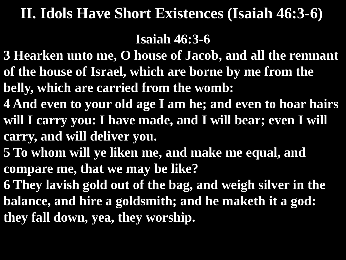## **II. Idols Have Short Existences (Isaiah 46:3-6)**

#### **Isaiah 46:3-6**

- **3 Hearken unto me, O house of Jacob, and all the remnant of the house of Israel, which are borne by me from the**
- **belly, which are carried from the womb:**
- **4 And even to your old age I am he; and even to hoar hairs will I carry you: I have made, and I will bear; even I will carry, and will deliver you.**
- **5 To whom will ye liken me, and make me equal, and compare me, that we may be like?**
- **6 They lavish gold out of the bag, and weigh silver in the balance, and hire a goldsmith; and he maketh it a god: they fall down, yea, they worship.**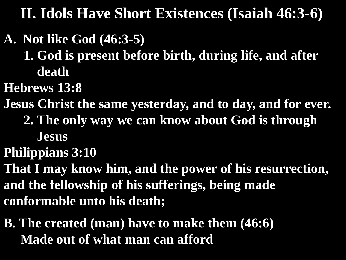**II. Idols Have Short Existences (Isaiah 46:3-6)**

### **A. Not like God (46:3-5)**

 **1. God is present before birth, during life, and after death**

**Hebrews 13:8**

**Jesus Christ the same yesterday, and to day, and for ever.** 

 **2. The only way we can know about God is through**

 **Jesus**

**Philippians 3:10**

**That I may know him, and the power of his resurrection, and the fellowship of his sufferings, being made conformable unto his death;**

**B. The created (man) have to make them (46:6) Made out of what man can afford**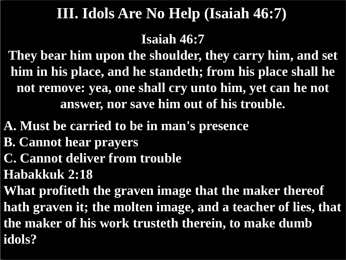# **III. Idols Are No Help (Isaiah 46:7)**

**Isaiah 46:7**

**They bear him upon the shoulder, they carry him, and set him in his place, and he standeth; from his place shall he not remove: yea, one shall cry unto him, yet can he not answer, nor save him out of his trouble.**

**A. Must be carried to be in man's presence**

- **B. Cannot hear prayers**
- **C. Cannot deliver from trouble**

**Habakkuk 2:18**

**What profiteth the graven image that the maker thereof hath graven it; the molten image, and a teacher of lies, that the maker of his work trusteth therein, to make dumb idols?**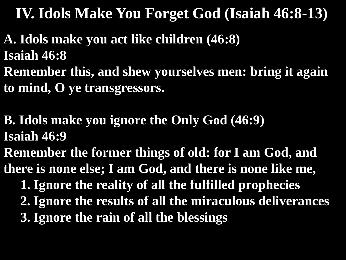# **IV. Idols Make You Forget God (Isaiah 46:8-13)**

#### **A. Idols make you act like children (46:8) Isaiah 46:8 Remember this, and shew yourselves men: bring it again to mind, O ye transgressors.**

**B. Idols make you ignore the Only God (46:9) Isaiah 46:9**

**Remember the former things of old: for I am God, and there is none else; I am God, and there is none like me,**

 **1. Ignore the reality of all the fulfilled prophecies**

- **2. Ignore the results of all the miraculous deliverances**
- **3. Ignore the rain of all the blessings**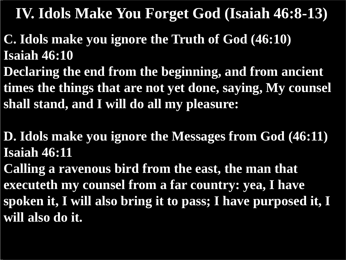# **IV. Idols Make You Forget God (Isaiah 46:8-13)**

- **C. Idols make you ignore the Truth of God (46:10) Isaiah 46:10**
- **Declaring the end from the beginning, and from ancient times the things that are not yet done, saying, My counsel shall stand, and I will do all my pleasure:**
- **D. Idols make you ignore the Messages from God (46:11) Isaiah 46:11**
- **Calling a ravenous bird from the east, the man that executeth my counsel from a far country: yea, I have spoken it, I will also bring it to pass; I have purposed it, I will also do it.**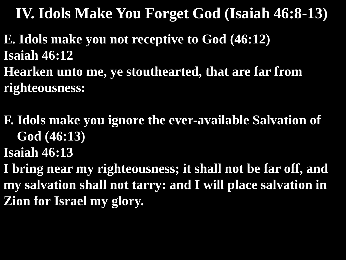**IV. Idols Make You Forget God (Isaiah 46:8-13)**

**E. Idols make you not receptive to God (46:12) Isaiah 46:12 Hearken unto me, ye stouthearted, that are far from righteousness:**

**F. Idols make you ignore the ever-available Salvation of God (46:13)**

**Isaiah 46:13**

**I bring near my righteousness; it shall not be far off, and my salvation shall not tarry: and I will place salvation in Zion for Israel my glory.**